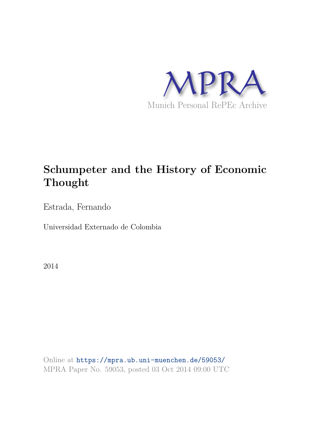

# **Schumpeter and the History of Economic Thought**

Estrada, Fernando

Universidad Externado de Colombia

2014

Online at https://mpra.ub.uni-muenchen.de/59053/ MPRA Paper No. 59053, posted 03 Oct 2014 09:00 UTC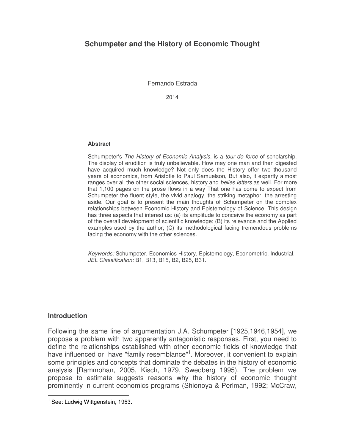# **Schumpeter and the History of Economic Thought**

Fernando Estrada

2014

#### **Abstract**

Schumpeter's *The History of Economic Analysis*, is a *tour de force* of scholarship. The display of erudition is truly unbelievable. How may one man and then digested have acquired much knowledge? Not only does the History offer two thousand years of economics, from Aristotle to Paul Samuelson, But also, it expertly almost ranges over all the other social sciences, history and *belles letters* as well. For more that 1,100 pages on the prose flows in a way That one has come to expect from Schumpeter the fluent style, the vivid analogy, the striking metaphor, the arresting aside. Our goal is to present the main thoughts of Schumpeter on the complex relationships between Economic History and Epistemology of Science. This design has three aspects that interest us: (a) its amplitude to conceive the economy as part of the overall development of scientific knowledge; (B) its relevance and the Applied examples used by the author; (C) its methodological facing tremendous problems facing the economy with the other sciences.

*Keywords:* Schumpeter, Economics History, Epistemology, Econometric, Industrial. *JEL Classification:* B1, B13, B15, B2, B25, B31.

#### **Introduction**

 $\overline{a}$ 

Following the same line of argumentation J.A. Schumpeter [1925,1946,1954], we propose a problem with two apparently antagonistic responses. First, you need to define the relationships established with other economic fields of knowledge that have influenced or have "family resemblance"<sup>1</sup>. Moreover, it convenient to explain some principles and concepts that dominate the debates in the history of economic analysis [Rammohan, 2005, Kisch, 1979, Swedberg 1995). The problem we propose to estimate suggests reasons why the history of economic thought prominently in current economics programs (Shionoya & Perlman, 1992; McCraw,

<sup>&</sup>lt;sup>1</sup> See: Ludwig Wittgenstein, 1953.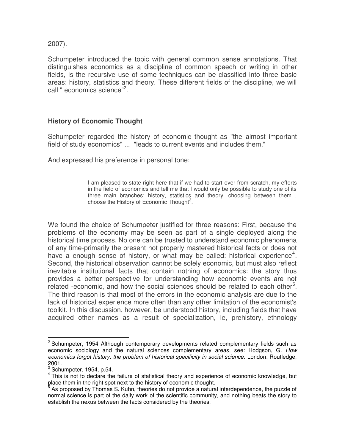2007).

Schumpeter introduced the topic with general common sense annotations. That distinguishes economics as a discipline of common speech or writing in other fields, is the recursive use of some techniques can be classified into three basic areas: history, statistics and theory. These different fields of the discipline, we will call " economics science"<sup>2</sup>.

#### **History of Economic Thought**

Schumpeter regarded the history of economic thought as "the almost important field of study economics" ... "leads to current events and includes them."

And expressed his preference in personal tone:

I am pleased to state right here that if we had to start over from scratch, my efforts in the field of economics and tell me that I would only be possible to study one of its three main branches: history, statistics and theory, choosing between them , choose the History of Economic Thought $3$ .

We found the choice of Schumpeter justified for three reasons: First, because the problems of the economy may be seen as part of a single deployed along the historical time process. No one can be trusted to understand economic phenomena of any time-primarily the present not properly mastered historical facts or does not have a enough sense of history, or what may be called: historical experience<sup>4</sup>. Second, the historical observation cannot be solely economic, but must also reflect inevitable institutional facts that contain nothing of economics: the story thus provides a better perspective for understanding how economic events are not related -economic, and how the social sciences should be related to each other<sup>5</sup>. The third reason is that most of the errors in the economic analysis are due to the lack of historical experience more often than any other limitation of the economist's toolkit. In this discussion, however, be understood history, including fields that have acquired other names as a result of specialization, ie, prehistory, ethnology

 $\overline{a}$ <sup>2</sup> Schumpeter, 1954 Although contemporary developments related complementary fields such as economic sociology and the natural sciences complementary areas, see: Hodgson, G. *How economics forgot history: the problem of historical specificity in social science*. London: Routledge, 2001.

 $3$  Schumpeter, 1954, p.54.

 $4$  This is not to declare the failure of statistical theory and experience of economic knowledge, but place them in the right spot next to the history of economic thought.<br>
<sup>5</sup> As proposed by Thomas S. Kubn, thoories do not provide a natural

As proposed by Thomas S. Kuhn, theories do not provide a natural interdependence, the puzzle of normal science is part of the daily work of the scientific community, and nothing beats the story to establish the nexus between the facts considered by the theories.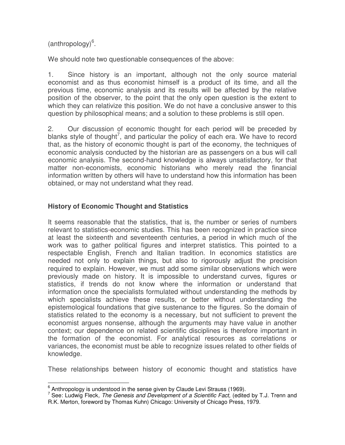(anthropology)<sup>6</sup>.

We should note two questionable consequences of the above:

1. Since history is an important, although not the only source material economist and as thus economist himself is a product of its time, and all the previous time, economic analysis and its results will be affected by the relative position of the observer, to the point that the only open question is the extent to which they can relativize this position. We do not have a conclusive answer to this question by philosophical means; and a solution to these problems is still open.

2. Our discussion of economic thought for each period will be preceded by blanks style of thought<sup>7</sup>, and particular the policy of each era. We have to record that, as the history of economic thought is part of the economy, the techniques of economic analysis conducted by the historian are as passengers on a bus will call economic analysis. The second-hand knowledge is always unsatisfactory, for that matter non-economists, economic historians who merely read the financial information written by others will have to understand how this information has been obtained, or may not understand what they read.

## **History of Economic Thought and Statistics**

It seems reasonable that the statistics, that is, the number or series of numbers relevant to statistics-economic studies. This has been recognized in practice since at least the sixteenth and seventeenth centuries, a period in which much of the work was to gather political figures and interpret statistics. This pointed to a respectable English, French and Italian tradition. In economics statistics are needed not only to explain things, but also to rigorously adjust the precision required to explain. However, we must add some similar observations which were previously made on history. It is impossible to understand curves, figures or statistics, if trends do not know where the information or understand that information once the specialists formulated without understanding the methods by which specialists achieve these results, or better without understanding the epistemological foundations that give sustenance to the figures. So the domain of statistics related to the economy is a necessary, but not sufficient to prevent the economist argues nonsense, although the arguments may have value in another context; our dependence on related scientific disciplines is therefore important in the formation of the economist. For analytical resources as correlations or variances, the economist must be able to recognize issues related to other fields of knowledge.

These relationships between history of economic thought and statistics have

 6 Anthropology is understood in the sense given by Claude Levi Strauss (1969).

<sup>7</sup> See: Ludwig Fleck*, The Genesis and Development of a Scientific Fact,* (edited by T.J. Trenn and R.K. Merton, foreword by Thomas Kuhn) Chicago: University of Chicago Press, 1979.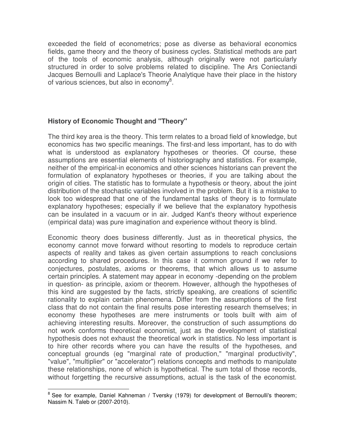exceeded the field of econometrics; pose as diverse as behavioral economics fields, game theory and the theory of business cycles. Statistical methods are part of the tools of economic analysis, although originally were not particularly structured in order to solve problems related to discipline. The Ars Coniectandi Jacques Bernoulli and Laplace's Theorie Analytique have their place in the history of various sciences, but also in economy<sup>8</sup>.

## **History of Economic Thought and "Theory"**

The third key area is the theory. This term relates to a broad field of knowledge, but economics has two specific meanings. The first-and less important, has to do with what is understood as explanatory hypotheses or theories. Of course, these assumptions are essential elements of historiography and statistics. For example, neither of the empirical-in economics and other sciences historians can prevent the formulation of explanatory hypotheses or theories, if you are talking about the origin of cities. The statistic has to formulate a hypothesis or theory, about the joint distribution of the stochastic variables involved in the problem. But it is a mistake to look too widespread that one of the fundamental tasks of theory is to formulate explanatory hypotheses; especially if we believe that the explanatory hypothesis can be insulated in a vacuum or in air. Judged Kant's theory without experience (empirical data) was pure imagination and experience without theory is blind.

Economic theory does business differently. Just as in theoretical physics, the economy cannot move forward without resorting to models to reproduce certain aspects of reality and takes as given certain assumptions to reach conclusions according to shared procedures. In this case it common ground if we refer to conjectures, postulates, axioms or theorems, that which allows us to assume certain principles. A statement may appear in economy -depending on the problem in question- as principle, axiom or theorem. However, although the hypotheses of this kind are suggested by the facts, strictly speaking, are creations of scientific rationality to explain certain phenomena. Differ from the assumptions of the first class that do not contain the final results pose interesting research themselves; in economy these hypotheses are mere instruments or tools built with aim of achieving interesting results. Moreover, the construction of such assumptions do not work conforms theoretical economist, just as the development of statistical hypothesis does not exhaust the theoretical work in statistics. No less important is to hire other records where you can have the results of the hypotheses, and conceptual grounds (eg "marginal rate of production," "marginal productivity", "value", "multiplier" or "accelerator") relations concepts and methods to manipulate these relationships, none of which is hypothetical. The sum total of those records, without forgetting the recursive assumptions, actual is the task of the economist.

endaan<br>
<sup>8</sup> See for example, Daniel Kahneman / Tversky (1979) for development of Bernoulli's theorem; Nassim N. Taleb or (2007-2010).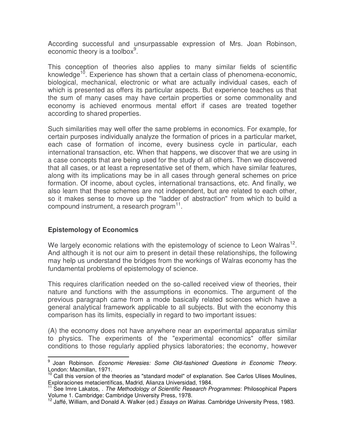According successful and unsurpassable expression of Mrs. Joan Robinson, economic theory is a toolbox<sup>9</sup>.

This conception of theories also applies to many similar fields of scientific knowledge<sup>10</sup>. Experience has shown that a certain class of phenomena-economic, biological, mechanical, electronic or what are actually individual cases, each of which is presented as offers its particular aspects. But experience teaches us that the sum of many cases may have certain properties or some commonality and economy is achieved enormous mental effort if cases are treated together according to shared properties.

Such similarities may well offer the same problems in economics. For example, for certain purposes individually analyze the formation of prices in a particular market, each case of formation of income, every business cycle in particular, each international transaction, etc. When that happens, we discover that we are using in a case concepts that are being used for the study of all others. Then we discovered that all cases, or at least a representative set of them, which have similar features, along with its implications may be in all cases through general schemes on price formation. Of income, about cycles, international transactions, etc. And finally, we also learn that these schemes are not independent, but are related to each other, so it makes sense to move up the "ladder of abstraction" from which to build a compound instrument, a research program<sup>11</sup>.

## **Epistemology of Economics**

We largely economic relations with the epistemology of science to Leon Walras<sup>12</sup>. And although it is not our aim to present in detail these relationships, the following may help us understand the bridges from the workings of Walras economy has the fundamental problems of epistemology of science.

This requires clarification needed on the so-called received view of theories, their nature and functions with the assumptions in economics. The argument of the previous paragraph came from a mode basically related sciences which have a general analytical framework applicable to all subjects. But with the economy this comparison has its limits, especially in regard to two important issues:

(A) the economy does not have anywhere near an experimental apparatus similar to physics. The experiments of the "experimental economics" offer similar conditions to those regularly applied physics laboratories; the economy, however

 $\overline{a}$ 9 Joan Robinson. *Economic Heresies: Some Old-fashioned Questions in Economic Theory.* London: Macmillan, 1971.

 $10$  Call this version of the theories as "standard model" of explanation. See Carlos Ulises Moulines, Exploraciones metacientíficas, Madrid, Alianza Universidad, 1984.

<sup>11</sup> See Imre Lakatos, . *The Methodology of Scientific Research Programmes*: Philosophical Papers Volume 1. Cambridge: Cambridge University Press, 1978.

<sup>12</sup> Jaffé, William, and Donald A. Walker (ed.) *Essays on Walras*. Cambridge University Press, 1983.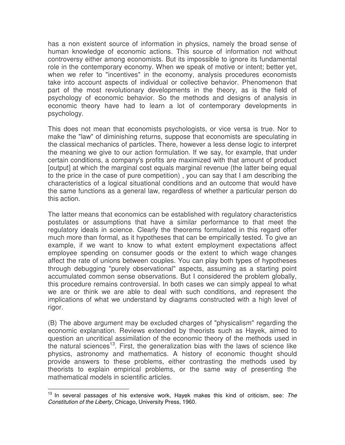has a non existent source of information in physics, namely the broad sense of human knowledge of economic actions. This source of information not without controversy either among economists. But its impossible to ignore its fundamental role in the contemporary economy. When we speak of motive or intent; better yet, when we refer to "incentives" in the economy, analysis procedures economists take into account aspects of individual or collective behavior. Phenomenon that part of the most revolutionary developments in the theory, as is the field of psychology of economic behavior. So the methods and designs of analysis in economic theory have had to learn a lot of contemporary developments in psychology.

This does not mean that economists psychologists, or vice versa is true. Nor to make the "law" of diminishing returns, suppose that economists are speculating in the classical mechanics of particles. There, however a less dense logic to interpret the meaning we give to our action formulation. If we say, for example, that under certain conditions, a company's profits are maximized with that amount of product [output] at which the marginal cost equals marginal revenue (the latter being equal to the price in the case of pure competition) , you can say that I am describing the characteristics of a logical situational conditions and an outcome that would have the same functions as a general law, regardless of whether a particular person do this action.

The latter means that economics can be established with regulatory characteristics postulates or assumptions that have a similar performance to that meet the regulatory ideals in science. Clearly the theorems formulated in this regard offer much more than formal, as it hypotheses that can be empirically tested. To give an example, if we want to know to what extent employment expectations affect employee spending on consumer goods or the extent to which wage changes affect the rate of unions between couples. You can play both types of hypotheses through debugging "purely observational" aspects, assuming as a starting point accumulated common sense observations. But I considered the problem globally, this procedure remains controversial. In both cases we can simply appeal to what we are or think we are able to deal with such conditions, and represent the implications of what we understand by diagrams constructed with a high level of rigor.

(B) The above argument may be excluded charges of "physicalism" regarding the economic explanation. Reviews extended by theorists such as Hayek, aimed to question an uncritical assimilation of the economic theory of the methods used in the natural sciences<sup>13</sup>. First, the generalization bias with the laws of science like physics, astronomy and mathematics. A history of economic thought should provide answers to these problems, either contrasting the methods used by theorists to explain empirical problems, or the same way of presenting the mathematical models in scientific articles.

 $\overline{a}$ <sup>13</sup> In several passages of his extensive work, Hayek makes this kind of criticism, see: *The Constitution of the Liberty*, Chicago, University Press, 1960.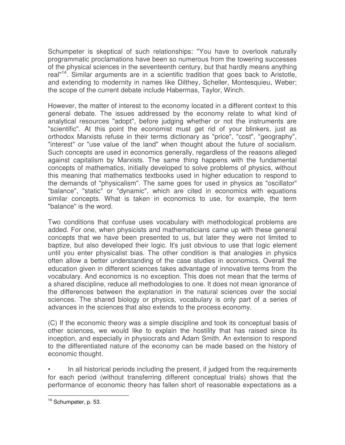Schumpeter is skeptical of such relationships: "You have to overlook naturally programmatic proclamations have been so numerous from the towering successes of the physical sciences in the seventeenth century, but that hardly means anything real"<sup>14</sup>. Similar arguments are in a scientific tradition that goes back to Aristotle, and extending to modernity in names like Dilthey, Scheller, Montesquieu, Weber; the scope of the current debate include Habermas, Taylor, Winch.

However, the matter of interest to the economy located in a different context to this general debate. The issues addressed by the economy relate to what kind of analytical resources "adopt", before judging whether or not the instruments are "scientific". At this point the economist must get rid of your blinkers, just as orthodox Marxists refuse in their terms dictionary as "price", "cost", "geography", "interest" or "use value of the land" when thought about the future of socialism. Such concepts are used in economics generally, regardless of the reasons alleged against capitalism by Marxists. The same thing happens with the fundamental concepts of mathematics, initially developed to solve problems of physics, without this meaning that mathematics textbooks used in higher education to respond to the demands of "physicalism". The same goes for used in physics as "oscillator" "balance", "static" or "dynamic", which are cited in economics with equations similar concepts. What is taken in economics to use, for example, the term "balance" is the word.

Two conditions that confuse uses vocabulary with methodological problems are added. For one, when physicists and mathematicians came up with these general concepts that we have been presented to us, but later they were not limited to baptize, but also developed their logic. It's just obvious to use that logic element until you enter physicalist bias. The other condition is that analogies in physics often allow a better understanding of the case studies in economics. Overall the education given in different sciences takes advantage of innovative terms from the vocabulary. And economics is no exception. This does not mean that the terms of a shared discipline, reduce all methodologies to one. It does not mean ignorance of the differences between the explanation in the natural sciences over the social sciences. The shared biology or physics, vocabulary is only part of a series of advances in the sciences that also extends to the process economy.

(C) If the economic theory was a simple discipline and took its conceptual basis of other sciences, we would like to explain the hostility that has raised since its inception, and especially in physiocrats and Adam Smith. An extension to respond to the differentiated nature of the economy can be made based on the history of economic thought.

• In all historical periods including the present, if judged from the requirements for each period (without transferring different conceptual trials) shows that the performance of economic theory has fallen short of reasonable expectations as a

 $\overline{a}$ <sup>14</sup> Schumpeter, p. 53.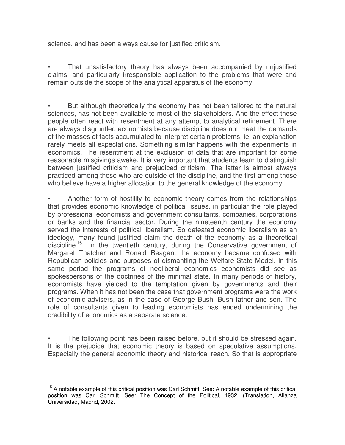science, and has been always cause for justified criticism.

That unsatisfactory theory has always been accompanied by unjustified claims, and particularly irresponsible application to the problems that were and remain outside the scope of the analytical apparatus of the economy.

• But although theoretically the economy has not been tailored to the natural sciences, has not been available to most of the stakeholders. And the effect these people often react with resentment at any attempt to analytical refinement. There are always disgruntled economists because discipline does not meet the demands of the masses of facts accumulated to interpret certain problems, ie, an explanation rarely meets all expectations. Something similar happens with the experiments in economics. The resentment at the exclusion of data that are important for some reasonable misgivings awake. It is very important that students learn to distinguish between justified criticism and prejudiced criticism. The latter is almost always practiced among those who are outside of the discipline, and the first among those who believe have a higher allocation to the general knowledge of the economy.

• Another form of hostility to economic theory comes from the relationships that provides economic knowledge of political issues, in particular the role played by professional economists and government consultants, companies, corporations or banks and the financial sector. During the nineteenth century the economy served the interests of political liberalism. So defeated economic liberalism as an ideology, many found justified claim the death of the economy as a theoretical discipline <sup>15</sup> . In the twentieth century, during the Conservative government of Margaret Thatcher and Ronald Reagan, the economy became confused with Republican policies and purposes of dismantling the Welfare State Model. In this same period the programs of neoliberal economics economists did see as spokespersons of the doctrines of the minimal state. In many periods of history, economists have yielded to the temptation given by governments and their programs. When it has not been the case that government programs were the work of economic advisers, as in the case of George Bush, Bush father and son. The role of consultants given to leading economists has ended undermining the credibility of economics as a separate science.

• The following point has been raised before, but it should be stressed again. It is the prejudice that economic theory is based on speculative assumptions. Especially the general economic theory and historical reach. So that is appropriate

 $\overline{\phantom{a}}$ <sup>15</sup> A notable example of this critical position was Carl Schmitt. See: A notable example of this critical position was Carl Schmitt. See: The Concept of the Political, 1932, (Translation, Alianza Universidad, Madrid, 2002.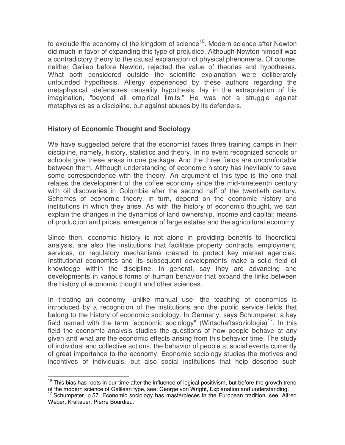to exclude the economy of the kingdom of science<sup>16</sup>. Modern science after Newton did much in favor of expanding this type of prejudice. Although Newton himself was a contradictory theory to the causal explanation of physical phenomena. Of course, neither Galileo before Newton, rejected the value of theories and hypotheses. What both considered outside the scientific explanation were deliberately unfounded hypothesis. Allergy experienced by these authors regarding the metaphysical -defensores causality hypothesis, lay in the extrapolation of his imagination, "beyond all empirical limits." He was not a struggle against metaphysics as a discipline, but against abuses by its defenders.

#### **History of Economic Thought and Sociology**

 $\overline{a}$ 

We have suggested before that the economist faces three training camps in their discipline, namely, history, statistics and theory. In no event recognized schools or schools give these areas in one package. And the three fields are uncomfortable between them. Although understanding of economic history has inevitably to save some correspondence with the theory. An argument of this type is the one that relates the development of the coffee economy since the mid-nineteenth century with oil discoveries in Colombia after the second half of the twentieth century. Schemes of economic theory, in turn, depend on the economic history and institutions in which they arise. As with the history of economic thought, we can explain the changes in the dynamics of land ownership, income and capital; means of production and prices, emergence of large estates and the agricultural economy.

Since then, economic history is not alone in providing benefits to theoretical analysis, are also the institutions that facilitate property contracts, employment, services, or regulatory mechanisms created to protect key market agencies. Institutional economics and its subsequent developments make a solid field of knowledge within the discipline. In general, say they are advancing and developments in various forms of human behavior that expand the links between the history of economic thought and other sciences.

In treating an economy -unlike manual use- the teaching of economics is introduced by a recognition of the institutions and the public service fields that belong to the history of economic sociology. In Germany, says Schumpeter, a key field named with the term "economic sociology" (Wirtschaftssoziologie)<sup>17</sup>. In this field the economic analysis studies the questions of how people behave at any given and what are the economic effects arising from this behavior time; The study of individual and collective actions, the behavior of people at social events currently of great importance to the economy. Economic sociology studies the motives and incentives of individuals, but also social institutions that help describe such

 $16$  This bias has roots in our time after the influence of logical positivism, but before the growth trend of the modern science of Galilean type, see: George von Wright, Explanation and understanding.

<sup>&</sup>lt;sup>17</sup> Schumpeter, p.57. Economic sociology has masterpieces in the European tradition, see: Alfred Weber, Krakauer, Pierre Bourdieu.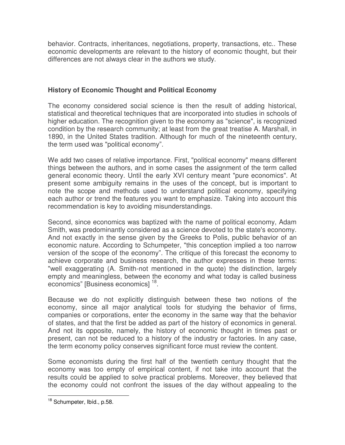behavior. Contracts, inheritances, negotiations, property, transactions, etc.. These economic developments are relevant to the history of economic thought, but their differences are not always clear in the authors we study.

## **History of Economic Thought and Political Economy**

The economy considered social science is then the result of adding historical, statistical and theoretical techniques that are incorporated into studies in schools of higher education. The recognition given to the economy as "science", is recognized condition by the research community; at least from the great treatise A. Marshall, in 1890, in the United States tradition. Although for much of the nineteenth century, the term used was "political economy".

We add two cases of relative importance. First, "political economy" means different things between the authors, and in some cases the assignment of the term called general economic theory. Until the early XVI century meant "pure economics". At present some ambiguity remains in the uses of the concept, but is important to note the scope and methods used to understand political economy, specifying each author or trend the features you want to emphasize. Taking into account this recommendation is key to avoiding misunderstandings.

Second, since economics was baptized with the name of political economy, Adam Smith, was predominantly considered as a science devoted to the state's economy. And not exactly in the sense given by the Greeks to Polis, public behavior of an economic nature. According to Schumpeter, "this conception implied a too narrow version of the scope of the economy". The critique of this forecast the economy to achieve corporate and business research, the author expresses in these terms: "well exaggerating (A. Smith-not mentioned in the quote) the distinction, largely empty and meaningless, between the economy and what today is called business economics" [Business economics] <sup>18</sup>.

Because we do not explicitly distinguish between these two notions of the economy, since all major analytical tools for studying the behavior of firms, companies or corporations, enter the economy in the same way that the behavior of states, and that the first be added as part of the history of economics in general. And not its opposite, namely, the history of economic thought in times past or present, can not be reduced to a history of the industry or factories. In any case, the term economy policy conserves significant force must review the content.

Some economists during the first half of the twentieth century thought that the economy was too empty of empirical content, if not take into account that the results could be applied to solve practical problems. Moreover, they believed that the economy could not confront the issues of the day without appealing to the

 $\overline{a}$ <sup>18</sup> Schumpeter, Ibíd., p.58.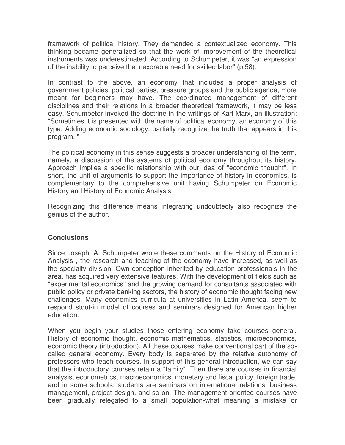framework of political history. They demanded a contextualized economy. This thinking became generalized so that the work of improvement of the theoretical instruments was underestimated. According to Schumpeter, it was "an expression of the inability to perceive the inexorable need for skilled labor" (p.58).

In contrast to the above, an economy that includes a proper analysis of government policies, political parties, pressure groups and the public agenda, more meant for beginners may have. The coordinated management of different disciplines and their relations in a broader theoretical framework, it may be less easy. Schumpeter invoked the doctrine in the writings of Karl Marx, an illustration: "Sometimes it is presented with the name of political economy, an economy of this type. Adding economic sociology, partially recognize the truth that appears in this program. "

The political economy in this sense suggests a broader understanding of the term, namely, a discussion of the systems of political economy throughout its history. Approach implies a specific relationship with our idea of "economic thought". In short, the unit of arguments to support the importance of history in economics, is complementary to the comprehensive unit having Schumpeter on Economic History and History of Economic Analysis.

Recognizing this difference means integrating undoubtedly also recognize the genius of the author.

#### **Conclusions**

Since Joseph. A. Schumpeter wrote these comments on the History of Economic Analysis , the research and teaching of the economy have increased, as well as the specialty division. Own conception inherited by education professionals in the area, has acquired very extensive features. With the development of fields such as "experimental economics" and the growing demand for consultants associated with public policy or private banking sectors, the history of economic thought facing new challenges. Many economics curricula at universities in Latin America, seem to respond stout-in model of courses and seminars designed for American higher education.

When you begin your studies those entering economy take courses general. History of economic thought, economic mathematics, statistics, microeconomics, economic theory (introduction). All these courses make conventional part of the socalled general economy. Every body is separated by the relative autonomy of professors who teach courses. In support of this general introduction, we can say that the introductory courses retain a "family". Then there are courses in financial analysis, econometrics, macroeconomics, monetary and fiscal policy, foreign trade, and in some schools, students are seminars on international relations, business management, project design, and so on. The management-oriented courses have been gradually relegated to a small population-what meaning a mistake or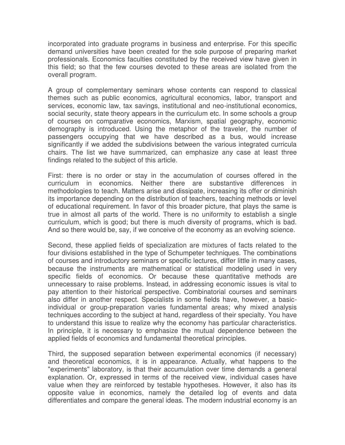incorporated into graduate programs in business and enterprise. For this specific demand universities have been created for the sole purpose of preparing market professionals. Economics faculties constituted by the received view have given in this field; so that the few courses devoted to these areas are isolated from the overall program.

A group of complementary seminars whose contents can respond to classical themes such as public economics, agricultural economics, labor, transport and services, economic law, tax savings, institutional and neo-institutional economics, social security, state theory appears in the curriculum etc. In some schools a group of courses on comparative economics, Marxism, spatial geography, economic demography is introduced. Using the metaphor of the traveler, the number of passengers occupying that we have described as a bus, would increase significantly if we added the subdivisions between the various integrated curricula chairs. The list we have summarized, can emphasize any case at least three findings related to the subject of this article.

First: there is no order or stay in the accumulation of courses offered in the curriculum in economics. Neither there are substantive differences in methodologies to teach. Matters arise and dissipate, increasing its offer or diminish its importance depending on the distribution of teachers, teaching methods or level of educational requirement. In favor of this broader picture, that plays the same is true in almost all parts of the world. There is no uniformity to establish a single curriculum, which is good; but there is much diversity of programs, which is bad. And so there would be, say, if we conceive of the economy as an evolving science.

Second, these applied fields of specialization are mixtures of facts related to the four divisions established in the type of Schumpeter techniques. The combinations of courses and introductory seminars or specific lectures, differ little in many cases, because the instruments are mathematical or statistical modeling used in very specific fields of economics. Or because these quantitative methods are unnecessary to raise problems. Instead, in addressing economic issues is vital to pay attention to their historical perspective. Combinatorial courses and seminars also differ in another respect. Specialists in some fields have, however, a basicindividual or group-preparation varies fundamental areas; why mixed analysis techniques according to the subject at hand, regardless of their specialty. You have to understand this issue to realize why the economy has particular characteristics. In principle, it is necessary to emphasize the mutual dependence between the applied fields of economics and fundamental theoretical principles.

Third, the supposed separation between experimental economics (if necessary) and theoretical economics, it is in appearance. Actually, what happens to the "experiments" laboratory, is that their accumulation over time demands a general explanation. Or, expressed in terms of the received view, individual cases have value when they are reinforced by testable hypotheses. However, it also has its opposite value in economics, namely the detailed log of events and data differentiates and compare the general ideas. The modern industrial economy is an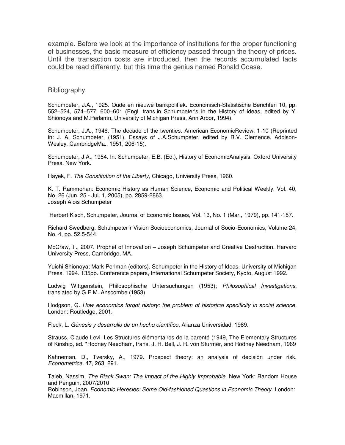example. Before we look at the importance of institutions for the proper functioning of businesses, the basic measure of efficiency passed through the theory of prices. Until the transaction costs are introduced, then the records accumulated facts could be read differently, but this time the genius named Ronald Coase.

#### **Bibliography**

Schumpeter, J.A., 1925. Oude en nieuwe bankpolitiek. Economisch-Statistische Berichten 10, pp. 552–524, 574–577, 600–601 (Engl. trans.in Schumpeter's in the History of ideas, edited by Y. Shionoya and M.Perlamn, University of Michigan Press, Ann Arbor, 1994).

Schumpeter, J.A., 1946. The decade of the twenties. American EconomicReview, 1-10 (Reprinted in: J. A. Schumpeter, (1951), Essays of J.A.Schumpeter, edited by R.V. Clemence, Addison-Wesley, CambridgeMa., 1951, 206-15).

Schumpeter, J.A., 1954. In: Schumpeter, E.B. (Ed.), History of EconomicAnalysis. Oxford University Press, New York.

Hayek, F. *The Constitution of the Liberty*, Chicago, University Press, 1960.

K. T. Rammohan: Economic History as Human Science, Economic and Political Weekly, Vol. 40, No. 26 (Jun. 25 - Jul. 1, 2005), pp. 2859-2863. Joseph Alois Schumpeter

Herbert Kisch, Schumpeter, Journal of Economic Issues, Vol. 13, No. 1 (Mar., 1979), pp. 141-157.

Richard Swedberg, Schumpeter´r Vision Socioeconomics, Journal of Socio-Economics, Volume 24, No. 4, pp. 52.5-544.

McCraw, T., 2007. Prophet of Innovation – Joseph Schumpeter and Creative Destruction. Harvard University Press, Cambridge, MA.

Yuichi Shionoya; Mark Perlman (editors). Schumpeter in the History of Ideas. University of Michigan Press. 1994. 135pp. Conference papers, International Schumpeter Society, Kyoto, August 1992.

Ludwig Wittgenstein, Philosophische Untersuchungen (1953); *Philosophical Investigations*, translated by G.E.M. Anscombe (1953)

Hodgson, G. *How economics forgot history: the problem of historical specificity in social science*. London: Routledge, 2001.

Fleck, L. *Génesis y desarrollo de un hecho científico*, Alianza Universidad, 1989.

Strauss, Claude Levi. Les Structures élémentaires de la parenté (1949, The Elementary Structures of Kinship, ed. \*Rodney Needham, trans. J. H. Bell, J. R. von Sturmer, and Rodney Needham, 1969

Kahneman, D., Tversky, A., 1979. Prospect theory: an analysis of decisión under risk. *Econometrica*. 47, 263\_291.

Taleb, Nassim*, The Black Swan: The Impact of the Highly Improbable*. New York: Random House and Penguin. 2007/2010

Robinson, Joan. *Economic Heresies: Some Old-fashioned Questions in Economic Theory.* London: Macmillan, 1971.